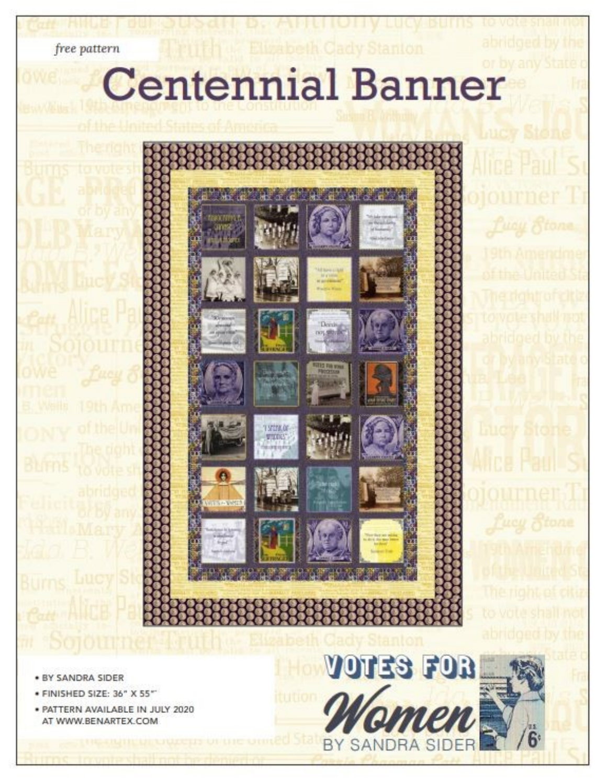